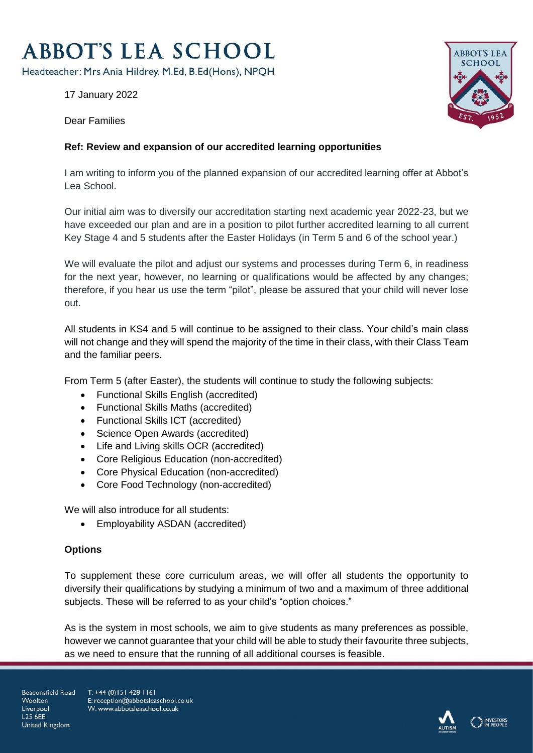## **ABBOT'S LEA SCHOOL**

Headteacher: Mrs Ania Hildrey, M.Ed, B.Ed(Hons), NPQH

17 January 2022

Dear Families



## **Ref: Review and expansion of our accredited learning opportunities**

I am writing to inform you of the planned expansion of our accredited learning offer at Abbot's Lea School.

Our initial aim was to diversify our accreditation starting next academic year 2022-23, but we have exceeded our plan and are in a position to pilot further accredited learning to all current Key Stage 4 and 5 students after the Easter Holidays (in Term 5 and 6 of the school year.)

We will evaluate the pilot and adjust our systems and processes during Term 6, in readiness for the next year, however, no learning or qualifications would be affected by any changes; therefore, if you hear us use the term "pilot", please be assured that your child will never lose out.

All students in KS4 and 5 will continue to be assigned to their class. Your child's main class will not change and they will spend the majority of the time in their class, with their Class Team and the familiar peers.

From Term 5 (after Easter), the students will continue to study the following subjects:

- Functional Skills English (accredited)
- Functional Skills Maths (accredited)
- Functional Skills ICT (accredited)
- Science Open Awards (accredited)
- Life and Living skills OCR (accredited)
- Core Religious Education (non-accredited)
- Core Physical Education (non-accredited)
- Core Food Technology (non-accredited)

We will also introduce for all students:

Employability ASDAN (accredited)

## **Options**

To supplement these core curriculum areas, we will offer all students the opportunity to diversify their qualifications by studying a minimum of two and a maximum of three additional subjects. These will be referred to as your child's "option choices."

As is the system in most schools, we aim to give students as many preferences as possible, however we cannot guarantee that your child will be able to study their favourite three subjects, as we need to ensure that the running of all additional courses is feasible.

Beaconsfield Road Woolton Liverpool **L25 6FF** United Kingdom

 $T: +44(0)1514281161$ E: reception@abbotsleaschool.co.uk W: www.abbotsleaschool.co.uk